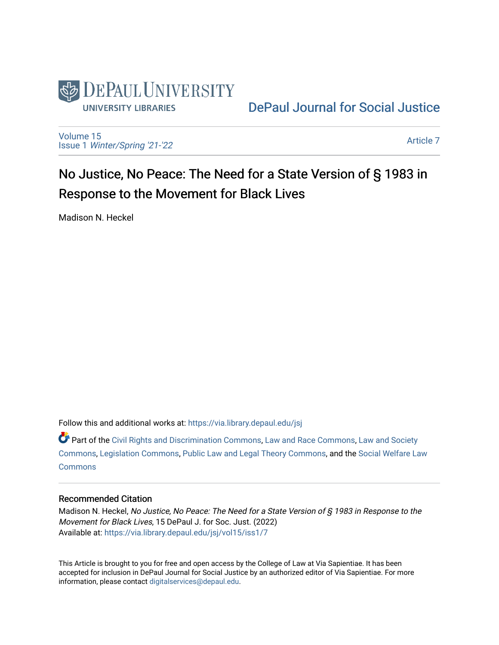

[DePaul Journal for Social Justice](https://via.library.depaul.edu/jsj) 

[Volume 15](https://via.library.depaul.edu/jsj/vol15) Issue 1 [Winter/Spring '21-'22](https://via.library.depaul.edu/jsj/vol15/iss1) 

[Article 7](https://via.library.depaul.edu/jsj/vol15/iss1/7) 

# No Justice, No Peace: The Need for a State Version of § 1983 in Response to the Movement for Black Lives

Madison N. Heckel

Follow this and additional works at: [https://via.library.depaul.edu/jsj](https://via.library.depaul.edu/jsj?utm_source=via.library.depaul.edu%2Fjsj%2Fvol15%2Fiss1%2F7&utm_medium=PDF&utm_campaign=PDFCoverPages) 

 $\bullet$  Part of the [Civil Rights and Discrimination Commons,](https://network.bepress.com/hgg/discipline/585?utm_source=via.library.depaul.edu%2Fjsj%2Fvol15%2Fiss1%2F7&utm_medium=PDF&utm_campaign=PDFCoverPages) [Law and Race Commons,](https://network.bepress.com/hgg/discipline/1300?utm_source=via.library.depaul.edu%2Fjsj%2Fvol15%2Fiss1%2F7&utm_medium=PDF&utm_campaign=PDFCoverPages) Law and Society [Commons](https://network.bepress.com/hgg/discipline/853?utm_source=via.library.depaul.edu%2Fjsj%2Fvol15%2Fiss1%2F7&utm_medium=PDF&utm_campaign=PDFCoverPages), [Legislation Commons,](https://network.bepress.com/hgg/discipline/859?utm_source=via.library.depaul.edu%2Fjsj%2Fvol15%2Fiss1%2F7&utm_medium=PDF&utm_campaign=PDFCoverPages) [Public Law and Legal Theory Commons](https://network.bepress.com/hgg/discipline/871?utm_source=via.library.depaul.edu%2Fjsj%2Fvol15%2Fiss1%2F7&utm_medium=PDF&utm_campaign=PDFCoverPages), and the [Social Welfare Law](https://network.bepress.com/hgg/discipline/878?utm_source=via.library.depaul.edu%2Fjsj%2Fvol15%2Fiss1%2F7&utm_medium=PDF&utm_campaign=PDFCoverPages) **[Commons](https://network.bepress.com/hgg/discipline/878?utm_source=via.library.depaul.edu%2Fjsj%2Fvol15%2Fiss1%2F7&utm_medium=PDF&utm_campaign=PDFCoverPages)** 

## Recommended Citation

Madison N. Heckel, No Justice, No Peace: The Need for a State Version of § 1983 in Response to the Movement for Black Lives, 15 DePaul J. for Soc. Just. (2022) Available at: [https://via.library.depaul.edu/jsj/vol15/iss1/7](https://via.library.depaul.edu/jsj/vol15/iss1/7?utm_source=via.library.depaul.edu%2Fjsj%2Fvol15%2Fiss1%2F7&utm_medium=PDF&utm_campaign=PDFCoverPages) 

This Article is brought to you for free and open access by the College of Law at Via Sapientiae. It has been accepted for inclusion in DePaul Journal for Social Justice by an authorized editor of Via Sapientiae. For more information, please contact [digitalservices@depaul.edu](mailto:digitalservices@depaul.edu).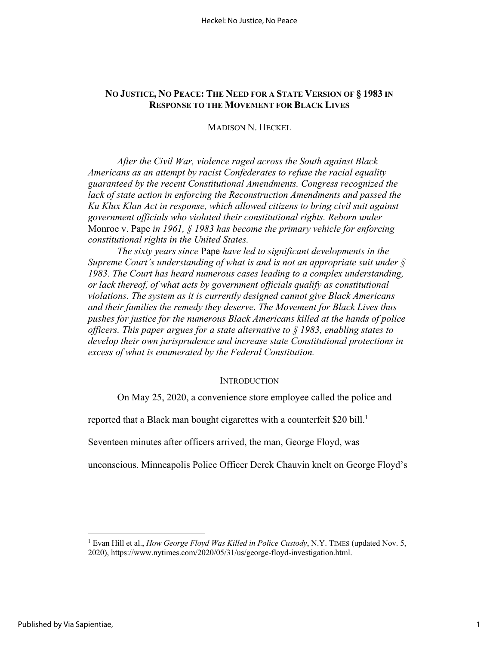# **NO JUSTICE, NO PEACE: THE NEED FOR A STATE VERSION OF § 1983 IN RESPONSE TO THE MOVEMENT FOR BLACK LIVES**

# MADISON N. HECKEL

*After the Civil War, violence raged across the South against Black Americans as an attempt by racist Confederates to refuse the racial equality guaranteed by the recent Constitutional Amendments. Congress recognized the*  lack of state action in enforcing the Reconstruction Amendments and passed the *Ku Klux Klan Act in response, which allowed citizens to bring civil suit against government officials who violated their constitutional rights. Reborn under*  Monroe v. Pape *in 1961, § 1983 has become the primary vehicle for enforcing constitutional rights in the United States.*

*The sixty years since* Pape *have led to significant developments in the Supreme Court's understanding of what is and is not an appropriate suit under § 1983. The Court has heard numerous cases leading to a complex understanding, or lack thereof, of what acts by government officials qualify as constitutional violations. The system as it is currently designed cannot give Black Americans and their families the remedy they deserve. The Movement for Black Lives thus pushes for justice for the numerous Black Americans killed at the hands of police officers. This paper argues for a state alternative to § 1983, enabling states to develop their own jurisprudence and increase state Constitutional protections in excess of what is enumerated by the Federal Constitution.*

## **INTRODUCTION**

On May 25, 2020, a convenience store employee called the police and

reported that a Black man bought cigarettes with a counterfeit \$20 bill.<sup>1</sup>

Seventeen minutes after officers arrived, the man, George Floyd, was

unconscious. Minneapolis Police Officer Derek Chauvin knelt on George Floyd's

<sup>1</sup> Evan Hill et al., *How George Floyd Was Killed in Police Custody*, N.Y. TIMES (updated Nov. 5, 2020), https://www.nytimes.com/2020/05/31/us/george-floyd-investigation.html.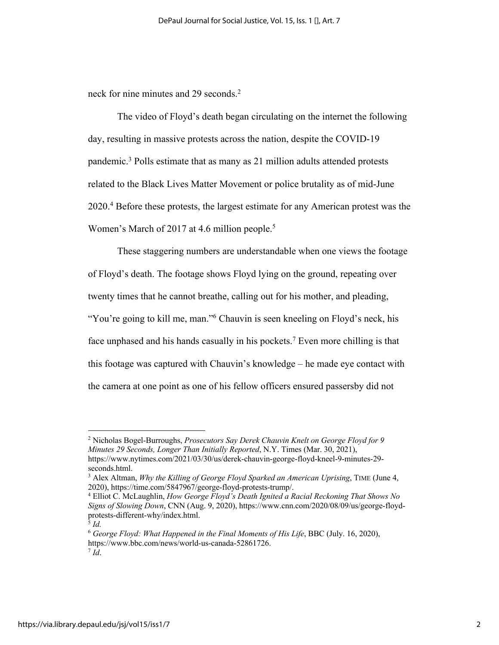neck for nine minutes and 29 seconds.<sup>2</sup>

The video of Floyd's death began circulating on the internet the following day, resulting in massive protests across the nation, despite the COVID-19 pandemic.3 Polls estimate that as many as 21 million adults attended protests related to the Black Lives Matter Movement or police brutality as of mid-June 2020.4 Before these protests, the largest estimate for any American protest was the Women's March of 2017 at 4.6 million people.<sup>5</sup>

These staggering numbers are understandable when one views the footage of Floyd's death. The footage shows Floyd lying on the ground, repeating over twenty times that he cannot breathe, calling out for his mother, and pleading, "You're going to kill me, man."<sup>6</sup> Chauvin is seen kneeling on Floyd's neck, his face unphased and his hands casually in his pockets.<sup>7</sup> Even more chilling is that this footage was captured with Chauvin's knowledge – he made eye contact with the camera at one point as one of his fellow officers ensured passersby did not

<sup>2</sup> Nicholas Bogel-Burroughs, *Prosecutors Say Derek Chauvin Knelt on George Floyd for 9 Minutes 29 Seconds, Longer Than Initially Reported*, N.Y. Times (Mar. 30, 2021), https://www.nytimes.com/2021/03/30/us/derek-chauvin-george-floyd-kneel-9-minutes-29 seconds.html.

<sup>3</sup> Alex Altman, *Why the Killing of George Floyd Sparked an American Uprising*, TIME (June 4, 2020), https://time.com/5847967/george-floyd-protests-trump/.

<sup>4</sup> Elliot C. McLaughlin, *How George Floyd's Death Ignited a Racial Reckoning That Shows No Signs of Slowing Down*, CNN (Aug. 9, 2020), https://www.cnn.com/2020/08/09/us/george-floydprotests-different-why/index.html.

<sup>5</sup> *Id.*

<sup>6</sup> *George Floyd: What Happened in the Final Moments of His Life*, BBC (July. 16, 2020), https://www.bbc.com/news/world-us-canada-52861726.  $^7$  *Id.*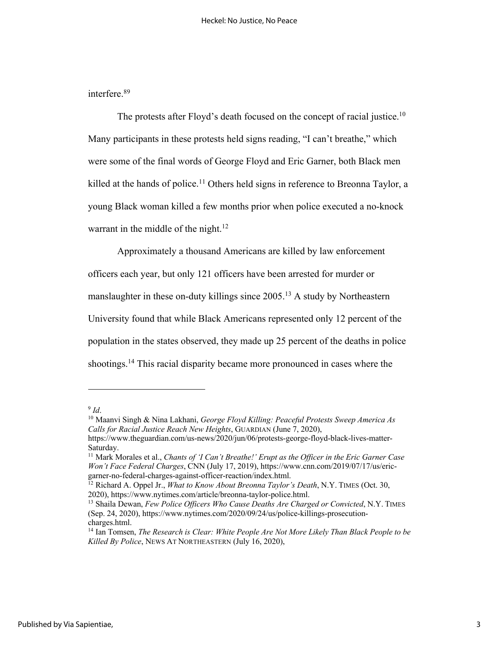interfere. 89

The protests after Floyd's death focused on the concept of racial justice.<sup>10</sup> Many participants in these protests held signs reading, "I can't breathe," which were some of the final words of George Floyd and Eric Garner, both Black men killed at the hands of police.<sup>11</sup> Others held signs in reference to Breonna Taylor, a young Black woman killed a few months prior when police executed a no-knock warrant in the middle of the night.<sup>12</sup>

Approximately a thousand Americans are killed by law enforcement officers each year, but only 121 officers have been arrested for murder or manslaughter in these on-duty killings since 2005.13 A study by Northeastern University found that while Black Americans represented only 12 percent of the population in the states observed, they made up 25 percent of the deaths in police shootings.<sup>14</sup> This racial disparity became more pronounced in cases where the

<sup>9</sup> *Id*.

<sup>10</sup> Maanvi Singh & Nina Lakhani, *George Floyd Killing: Peaceful Protests Sweep America As Calls for Racial Justice Reach New Heights*, GUARDIAN (June 7, 2020),

https://www.theguardian.com/us-news/2020/jun/06/protests-george-floyd-black-lives-matter-Saturday.

<sup>11</sup> Mark Morales et al., *Chants of 'I Can't Breathe!' Erupt as the Officer in the Eric Garner Case Won't Face Federal Charges*, CNN (July 17, 2019), https://www.cnn.com/2019/07/17/us/ericgarner-no-federal-charges-against-officer-reaction/index.html.

<sup>12</sup> Richard A. Oppel Jr., *What to Know About Breonna Taylor's Death*, N.Y. TIMES (Oct. 30, 2020), https://www.nytimes.com/article/breonna-taylor-police.html.

<sup>13</sup> Shaila Dewan, *Few Police Officers Who Cause Deaths Are Charged or Convicted*, N.Y. TIMES (Sep. 24, 2020), https://www.nytimes.com/2020/09/24/us/police-killings-prosecutioncharges.html.

<sup>14</sup> Ian Tomsen, *The Research is Clear: White People Are Not More Likely Than Black People to be Killed By Police*, NEWS AT NORTHEASTERN (July 16, 2020),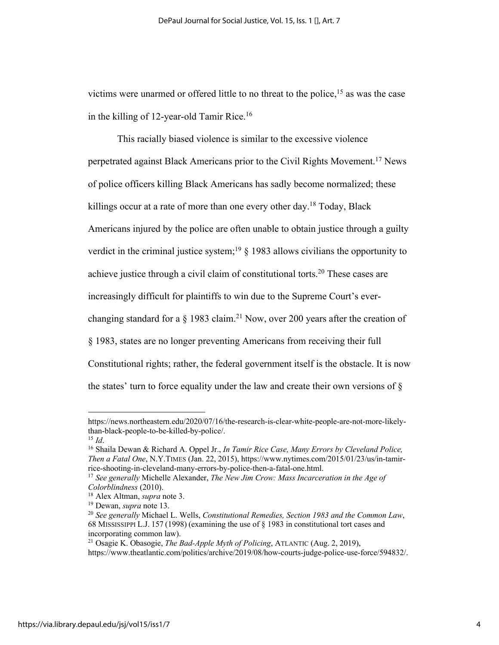victims were unarmed or offered little to no threat to the police,<sup>15</sup> as was the case in the killing of 12-year-old Tamir Rice.<sup>16</sup>

This racially biased violence is similar to the excessive violence perpetrated against Black Americans prior to the Civil Rights Movement.<sup>17</sup> News of police officers killing Black Americans has sadly become normalized; these killings occur at a rate of more than one every other day.<sup>18</sup> Today, Black Americans injured by the police are often unable to obtain justice through a guilty verdict in the criminal justice system;<sup>19</sup>  $\S$  1983 allows civilians the opportunity to achieve justice through a civil claim of constitutional torts.<sup>20</sup> These cases are increasingly difficult for plaintiffs to win due to the Supreme Court's everchanging standard for a  $\S$  1983 claim.<sup>21</sup> Now, over 200 years after the creation of § 1983, states are no longer preventing Americans from receiving their full Constitutional rights; rather, the federal government itself is the obstacle. It is now the states' turn to force equality under the law and create their own versions of  $\delta$ 

https://news.northeastern.edu/2020/07/16/the-research-is-clear-white-people-are-not-more-likelythan-black-people-to-be-killed-by-police/.

<sup>15</sup> *Id*.

<sup>16</sup> Shaila Dewan & Richard A. Oppel Jr., *In Tamir Rice Case, Many Errors by Cleveland Police, Then a Fatal One*, N.Y.TIMES (Jan. 22, 2015), https://www.nytimes.com/2015/01/23/us/in-tamirrice-shooting-in-cleveland-many-errors-by-police-then-a-fatal-one.html.

<sup>17</sup> *See generally* Michelle Alexander, *The New Jim Crow: Mass Incarceration in the Age of Colorblindness* (2010).

<sup>18</sup> Alex Altman, *supra* note 3.

<sup>19</sup> Dewan, *supra* note 13.

<sup>20</sup> *See generally* Michael L. Wells, *Constitutional Remedies, Section 1983 and the Common Law*, 68 MISSISSIPPI L.J. 157 (1998) (examining the use of § 1983 in constitutional tort cases and incorporating common law).

<sup>21</sup> Osagie K. Obasogie, *The Bad-Apple Myth of Policing*, ATLANTIC (Aug. 2, 2019), https://www.theatlantic.com/politics/archive/2019/08/how-courts-judge-police-use-force/594832/.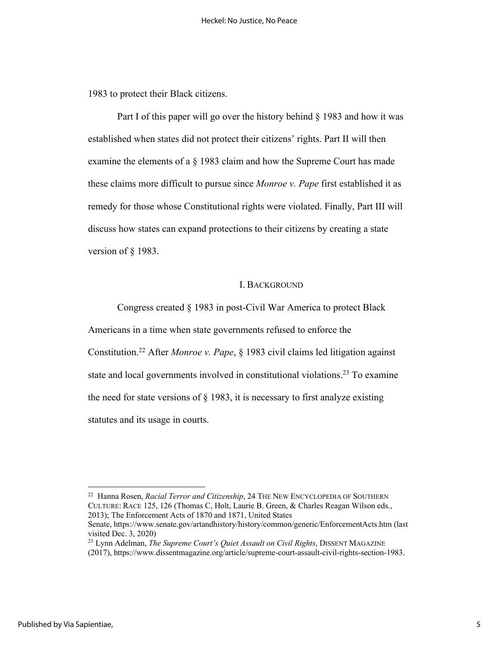1983 to protect their Black citizens.

Part I of this paper will go over the history behind § 1983 and how it was established when states did not protect their citizens' rights. Part II will then examine the elements of a § 1983 claim and how the Supreme Court has made these claims more difficult to pursue since *Monroe v. Pape* first established it as remedy for those whose Constitutional rights were violated. Finally, Part III will discuss how states can expand protections to their citizens by creating a state version of § 1983.

#### I. BACKGROUND

Congress created § 1983 in post-Civil War America to protect Black

Americans in a time when state governments refused to enforce the

Constitution.22 After *Monroe v. Pape*, § 1983 civil claims led litigation against state and local governments involved in constitutional violations.<sup>23</sup> To examine the need for state versions of  $\S$  1983, it is necessary to first analyze existing statutes and its usage in courts.

<sup>22</sup> Hanna Rosen, *Racial Terror and Citizenship*, 24 THE NEW ENCYCLOPEDIA OF SOUTHERN CULTURE: RACE 125, 126 (Thomas C, Holt, Laurie B. Green, & Charles Reagan Wilson eds., 2013); The Enforcement Acts of 1870 and 1871, United States

Senate, https://www.senate.gov/artandhistory/history/common/generic/EnforcementActs.htm (last visited Dec. 3, 2020)

<sup>&</sup>lt;sup>23</sup> Lynn Adelman, *The Supreme Court's Quiet Assault on Civil Rights*, DISSENT MAGAZINE (2017), https://www.dissentmagazine.org/article/supreme-court-assault-civil-rights-section-1983.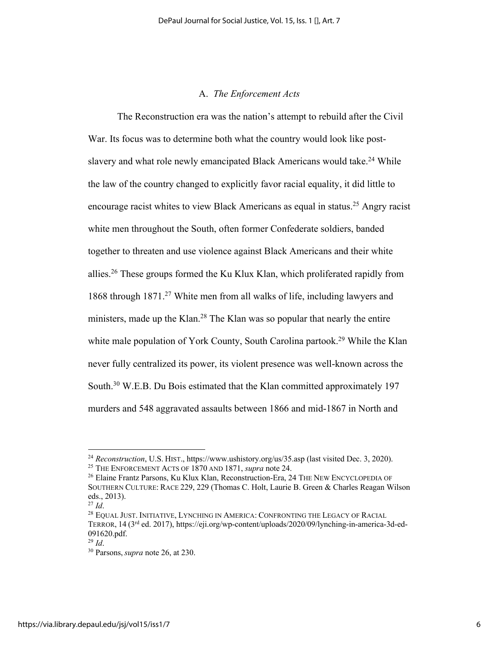## A. *The Enforcement Acts*

The Reconstruction era was the nation's attempt to rebuild after the Civil War. Its focus was to determine both what the country would look like postslavery and what role newly emancipated Black Americans would take.<sup>24</sup> While the law of the country changed to explicitly favor racial equality, it did little to encourage racist whites to view Black Americans as equal in status.<sup>25</sup> Angry racist white men throughout the South, often former Confederate soldiers, banded together to threaten and use violence against Black Americans and their white allies.26 These groups formed the Ku Klux Klan, which proliferated rapidly from 1868 through 1871.27 White men from all walks of life, including lawyers and ministers, made up the Klan.<sup>28</sup> The Klan was so popular that nearly the entire white male population of York County, South Carolina partook.<sup>29</sup> While the Klan never fully centralized its power, its violent presence was well-known across the South.<sup>30</sup> W.E.B. Du Bois estimated that the Klan committed approximately 197 murders and 548 aggravated assaults between 1866 and mid-1867 in North and

<sup>24</sup> *Reconstruction*, U.S. HIST., https://www.ushistory.org/us/35.asp (last visited Dec. 3, 2020). <sup>25</sup> THE ENFORCEMENT ACTS OF 1870 AND 1871, *supra* note 24.

<sup>26</sup> Elaine Frantz Parsons, Ku Klux Klan, Reconstruction-Era, 24 THE NEW ENCYCLOPEDIA OF SOUTHERN CULTURE: RACE 229, 229 (Thomas C. Holt, Laurie B. Green & Charles Reagan Wilson eds., 2013).

<sup>27</sup> *Id*.

<sup>&</sup>lt;sup>28</sup> EQUAL JUST. INITIATIVE, LYNCHING IN AMERICA: CONFRONTING THE LEGACY OF RACIAL TERROR, 14 (3rd ed. 2017), https://eji.org/wp-content/uploads/2020/09/lynching-in-america-3d-ed-091620.pdf.

<sup>29</sup> *Id*.

<sup>30</sup> Parsons, *supra* note 26, at 230.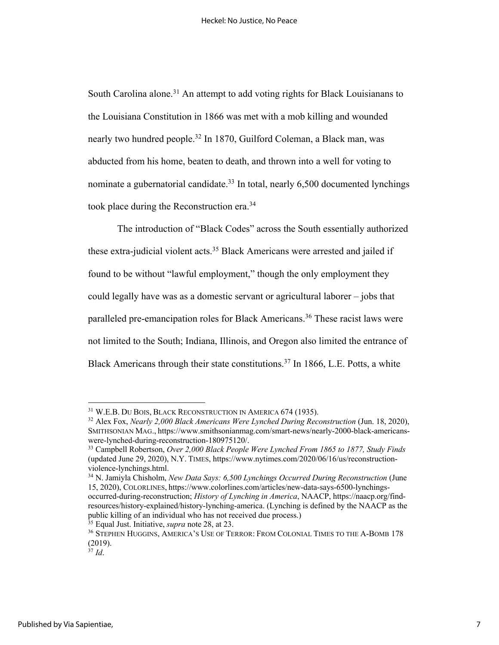South Carolina alone.<sup>31</sup> An attempt to add voting rights for Black Louisianans to the Louisiana Constitution in 1866 was met with a mob killing and wounded nearly two hundred people.<sup>32</sup> In 1870, Guilford Coleman, a Black man, was abducted from his home, beaten to death, and thrown into a well for voting to nominate a gubernatorial candidate.<sup>33</sup> In total, nearly 6,500 documented lynchings took place during the Reconstruction era.34

The introduction of "Black Codes" across the South essentially authorized these extra-judicial violent acts.<sup>35</sup> Black Americans were arrested and jailed if found to be without "lawful employment," though the only employment they could legally have was as a domestic servant or agricultural laborer – jobs that paralleled pre-emancipation roles for Black Americans.<sup>36</sup> These racist laws were not limited to the South; Indiana, Illinois, and Oregon also limited the entrance of Black Americans through their state constitutions.<sup>37</sup> In 1866, L.E. Potts, a white

<sup>35</sup> Equal Just. Initiative, *supra* note 28, at 23.

<sup>31</sup> W.E.B. DU BOIS, BLACK RECONSTRUCTION IN AMERICA 674 (1935).

<sup>&</sup>lt;sup>32</sup> Alex Fox, *Nearly* 2,000 Black Americans Were Lynched During Reconstruction (Jun. 18, 2020), SMITHSONIAN MAG., https://www.smithsonianmag.com/smart-news/nearly-2000-black-americanswere-lynched-during-reconstruction-180975120/.

<sup>33</sup> Campbell Robertson, *Over 2,000 Black People Were Lynched From 1865 to 1877, Study Finds* (updated June 29, 2020), N.Y. TIMES, https://www.nytimes.com/2020/06/16/us/reconstructionviolence-lynchings.html.

<sup>34</sup> N. Jamiyla Chisholm, *New Data Says: 6,500 Lynchings Occurred During Reconstruction* (June 15, 2020), COLORLINES, https://www.colorlines.com/articles/new-data-says-6500-lynchingsoccurred-during-reconstruction; *History of Lynching in America*, NAACP, https://naacp.org/findresources/history-explained/history-lynching-america. (Lynching is defined by the NAACP as the public killing of an individual who has not received due process.)

<sup>36</sup> STEPHEN HUGGINS, AMERICA'S USE OF TERROR: FROM COLONIAL TIMES TO THE A-BOMB 178 (2019).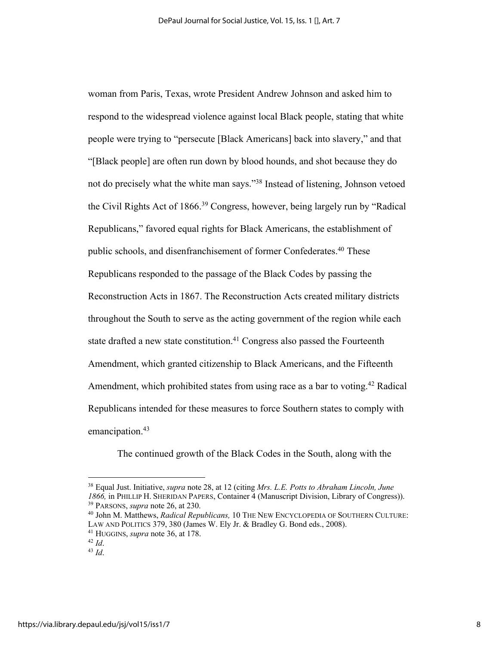woman from Paris, Texas, wrote President Andrew Johnson and asked him to respond to the widespread violence against local Black people, stating that white people were trying to "persecute [Black Americans] back into slavery," and that "[Black people] are often run down by blood hounds, and shot because they do not do precisely what the white man says."38 Instead of listening, Johnson vetoed the Civil Rights Act of 1866.<sup>39</sup> Congress, however, being largely run by "Radical Republicans," favored equal rights for Black Americans, the establishment of public schools, and disenfranchisement of former Confederates.<sup>40</sup> These Republicans responded to the passage of the Black Codes by passing the Reconstruction Acts in 1867. The Reconstruction Acts created military districts throughout the South to serve as the acting government of the region while each state drafted a new state constitution.<sup>41</sup> Congress also passed the Fourteenth Amendment, which granted citizenship to Black Americans, and the Fifteenth Amendment, which prohibited states from using race as a bar to voting.<sup>42</sup> Radical Republicans intended for these measures to force Southern states to comply with emancipation. 43

The continued growth of the Black Codes in the South, along with the

<sup>38</sup> Equal Just. Initiative, *supra* note 28, at 12 (citing *Mrs. L.E. Potts to Abraham Lincoln, June 1866,* in PHILLIP H. SHERIDAN PAPERS, Container 4 (Manuscript Division, Library of Congress)). <sup>39</sup> PARSONS, *supra* note 26, at 230.

<sup>40</sup> John M. Matthews, *Radical Republicans,* 10 THE NEW ENCYCLOPEDIA OF SOUTHERN CULTURE: LAW AND POLITICS 379, 380 (James W. Ely Jr. & Bradley G. Bond eds., 2008).

<sup>41</sup> HUGGINS, *supra* note 36, at 178.

<sup>42</sup> *Id*.

<sup>43</sup> *Id*.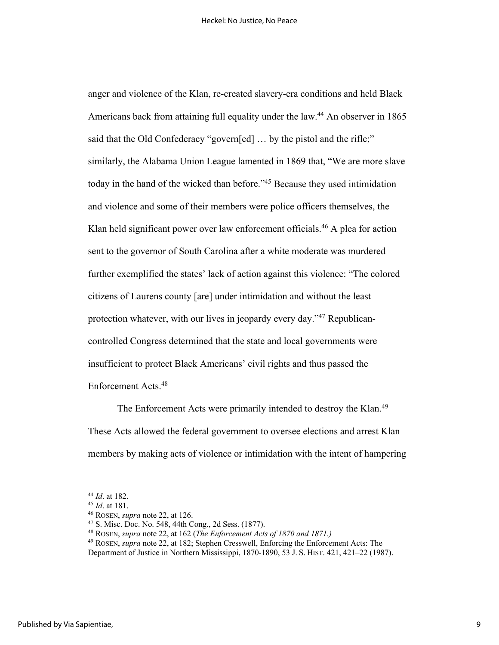anger and violence of the Klan, re-created slavery-era conditions and held Black Americans back from attaining full equality under the law.<sup>44</sup> An observer in 1865 said that the Old Confederacy "govern[ed] ... by the pistol and the rifle;" similarly, the Alabama Union League lamented in 1869 that, "We are more slave today in the hand of the wicked than before."45 Because they used intimidation and violence and some of their members were police officers themselves, the Klan held significant power over law enforcement officials. <sup>46</sup> A plea for action sent to the governor of South Carolina after a white moderate was murdered further exemplified the states' lack of action against this violence: "The colored citizens of Laurens county [are] under intimidation and without the least protection whatever, with our lives in jeopardy every day."47 Republicancontrolled Congress determined that the state and local governments were insufficient to protect Black Americans' civil rights and thus passed the Enforcement Acts.48

The Enforcement Acts were primarily intended to destroy the Klan.<sup>49</sup> These Acts allowed the federal government to oversee elections and arrest Klan members by making acts of violence or intimidation with the intent of hampering

<sup>44</sup> *Id*. at 182.

<sup>45</sup> *Id*. at 181.

<sup>46</sup> ROSEN, *supra* note 22, at 126.

<sup>47</sup> S. Misc. Doc. No. 548, 44th Cong., 2d Sess. (1877).

<sup>48</sup> ROSEN, *supra* note 22, at 162 (*The Enforcement Acts of 1870 and 1871.)*

<sup>49</sup> ROSEN, *supra* note 22, at 182; Stephen Cresswell, Enforcing the Enforcement Acts: The Department of Justice in Northern Mississippi, 1870-1890, 53 J. S. HIST. 421, 421–22 (1987).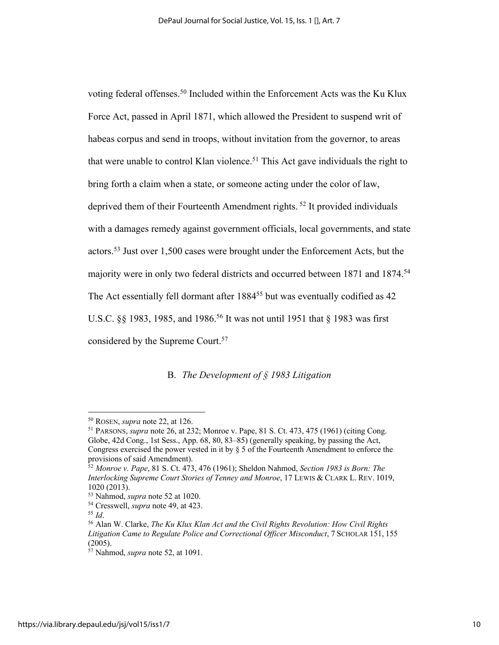voting federal offenses. <sup>50</sup> Included within the Enforcement Acts was the Ku Klux Force Act, passed in April 1871, which allowed the President to suspend writ of habeas corpus and send in troops, without invitation from the governor, to areas that were unable to control Klan violence.<sup>51</sup> This Act gave individuals the right to bring forth a claim when a state, or someone acting under the color of law, deprived them of their Fourteenth Amendment rights. <sup>52</sup> It provided individuals with a damages remedy against government officials, local governments, and state actors. <sup>53</sup> Just over 1,500 cases were brought under the Enforcement Acts, but the majority were in only two federal districts and occurred between 1871 and 1874.<sup>54</sup> The Act essentially fell dormant after 1884<sup>55</sup> but was eventually codified as 42 U.S.C. §§ 1983, 1985, and 1986.<sup>56</sup> It was not until 1951 that § 1983 was first considered by the Supreme Court.57

B. *The Development of § 1983 Litigation*

<sup>50</sup> ROSEN, *supra* note 22, at 126.

<sup>51</sup> PARSONS, *supra* note 26, at 232; Monroe v. Pape, 81 S. Ct. 473, 475 (1961) (citing Cong. Globe, 42d Cong., 1st Sess., App. 68, 80, 83–85) (generally speaking, by passing the Act, Congress exercised the power vested in it by § 5 of the Fourteenth Amendment to enforce the provisions of said Amendment).

<sup>52</sup> *Monroe v. Pape*, 81 S. Ct. 473, 476 (1961); Sheldon Nahmod, *Section 1983 is Born: The Interlocking Supreme Court Stories of Tenney and Monroe*, 17 LEWIS & CLARK L. REV. 1019, 1020 (2013).

<sup>53</sup> Nahmod, *supra* note 52 at 1020.

<sup>54</sup> Cresswell, *supra* note 49, at 423.

<sup>55</sup> *Id*.

<sup>56</sup> Alan W. Clarke, *The Ku Klux Klan Act and the Civil Rights Revolution: How Civil Rights Litigation Came to Regulate Police and Correctional Officer Misconduct*, 7 SCHOLAR 151, 155  $(2005)$ .

 $57$  Nahmod, *supra* note 52, at 1091.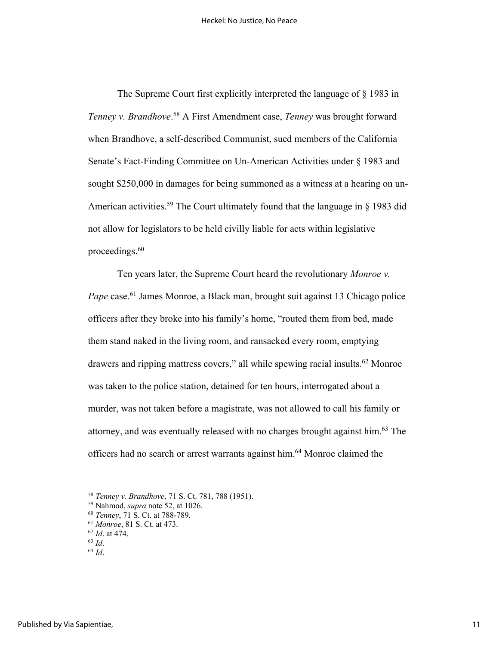The Supreme Court first explicitly interpreted the language of § 1983 in *Tenney v. Brandhove*. <sup>58</sup> A First Amendment case, *Tenney* was brought forward when Brandhove, a self-described Communist, sued members of the California Senate's Fact-Finding Committee on Un-American Activities under § 1983 and sought \$250,000 in damages for being summoned as a witness at a hearing on un-American activities.<sup>59</sup> The Court ultimately found that the language in  $\S$  1983 did not allow for legislators to be held civilly liable for acts within legislative proceedings. 60

Ten years later, the Supreme Court heard the revolutionary *Monroe v. Pape* case.<sup>61</sup> James Monroe, a Black man, brought suit against 13 Chicago police officers after they broke into his family's home, "routed them from bed, made them stand naked in the living room, and ransacked every room, emptying drawers and ripping mattress covers," all while spewing racial insults.<sup>62</sup> Monroe was taken to the police station, detained for ten hours, interrogated about a murder, was not taken before a magistrate, was not allowed to call his family or attorney, and was eventually released with no charges brought against him.63 The officers had no search or arrest warrants against him.64 Monroe claimed the

<sup>58</sup> *Tenney v. Brandhove*, 71 S. Ct. 781, 788 (1951).

<sup>59</sup> Nahmod, *supra* note 52, at 1026.

<sup>60</sup> *Tenney*, 71 S. Ct. at 788-789.

<sup>61</sup> *Monroe*, 81 S. Ct. at 473.

<sup>62</sup> *Id*. at 474.

<sup>63</sup> *Id*.

<sup>64</sup> *Id*.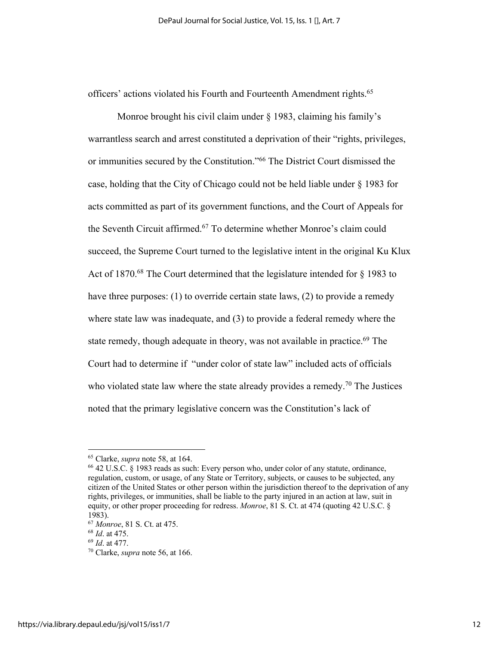officers' actions violated his Fourth and Fourteenth Amendment rights.<sup>65</sup>

Monroe brought his civil claim under § 1983, claiming his family's warrantless search and arrest constituted a deprivation of their "rights, privileges, or immunities secured by the Constitution."66 The District Court dismissed the case, holding that the City of Chicago could not be held liable under § 1983 for acts committed as part of its government functions, and the Court of Appeals for the Seventh Circuit affirmed.<sup>67</sup> To determine whether Monroe's claim could succeed, the Supreme Court turned to the legislative intent in the original Ku Klux Act of 1870.<sup>68</sup> The Court determined that the legislature intended for  $\S$  1983 to have three purposes: (1) to override certain state laws, (2) to provide a remedy where state law was inadequate, and (3) to provide a federal remedy where the state remedy, though adequate in theory, was not available in practice.<sup>69</sup> The Court had to determine if "under color of state law" included acts of officials who violated state law where the state already provides a remedy.<sup>70</sup> The Justices noted that the primary legislative concern was the Constitution's lack of

<sup>65</sup> Clarke, *supra* note 58, at 164.

<sup>66</sup> 42 U.S.C. § 1983 reads as such: Every person who, under color of any statute, ordinance, regulation, custom, or usage, of any State or Territory, subjects, or causes to be subjected, any citizen of the United States or other person within the jurisdiction thereof to the deprivation of any rights, privileges, or immunities, shall be liable to the party injured in an action at law, suit in equity, or other proper proceeding for redress. *Monroe*, 81 S. Ct. at 474 (quoting 42 U.S.C. § 1983).

<sup>67</sup> *Monroe*, 81 S. Ct. at 475.

<sup>68</sup> *Id*. at 475.

<sup>69</sup> *Id*. at 477.

<sup>70</sup> Clarke, *supra* note 56, at 166.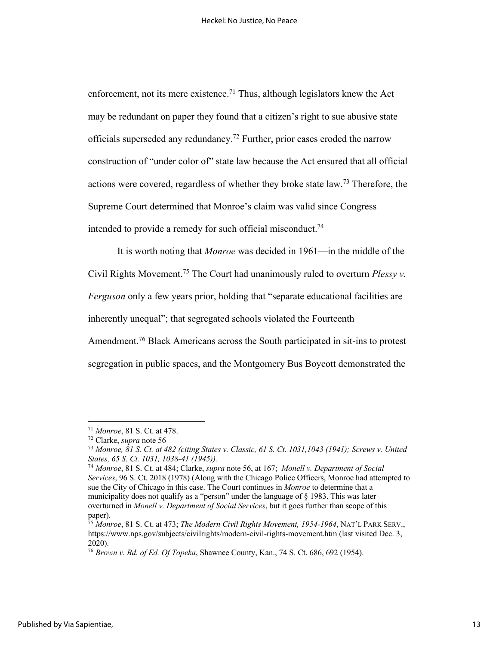enforcement, not its mere existence.<sup>71</sup> Thus, although legislators knew the Act may be redundant on paper they found that a citizen's right to sue abusive state officials superseded any redundancy.<sup>72</sup> Further, prior cases eroded the narrow construction of "under color of" state law because the Act ensured that all official actions were covered, regardless of whether they broke state law. <sup>73</sup> Therefore, the Supreme Court determined that Monroe's claim was valid since Congress intended to provide a remedy for such official misconduct.<sup>74</sup>

It is worth noting that *Monroe* was decided in 1961––in the middle of the Civil Rights Movement.75 The Court had unanimously ruled to overturn *Plessy v. Ferguson* only a few years prior, holding that "separate educational facilities are inherently unequal"; that segregated schools violated the Fourteenth Amendment.<sup>76</sup> Black Americans across the South participated in sit-ins to protest

segregation in public spaces, and the Montgomery Bus Boycott demonstrated the

<sup>71</sup> *Monroe*, 81 S. Ct. at 478.

<sup>72</sup> Clarke, *supra* note 56

<sup>73</sup> *Monroe, 81 S. Ct. at 482 (citing States v. Classic, 61 S. Ct. 1031,1043 (1941); Screws v. United States, 65 S. Ct. 1031, 1038-41 (1945)).*

<sup>74</sup> *Monroe*, 81 S. Ct. at 484; Clarke, *supra* note 56, at 167; *Monell v. Department of Social Services*, 96 S. Ct. 2018 (1978) (Along with the Chicago Police Officers, Monroe had attempted to sue the City of Chicago in this case. The Court continues in *Monroe* to determine that a municipality does not qualify as a "person" under the language of § 1983. This was later overturned in *Monell v. Department of Social Services*, but it goes further than scope of this paper).

<sup>75</sup> *Monroe*, 81 S. Ct. at 473; *The Modern Civil Rights Movement, 1954-1964*, NAT'L PARK SERV., https://www.nps.gov/subjects/civilrights/modern-civil-rights-movement.htm (last visited Dec. 3, 2020).

<sup>76</sup> *Brown v. Bd. of Ed. Of Topeka*, Shawnee County, Kan., 74 S. Ct. 686, 692 (1954).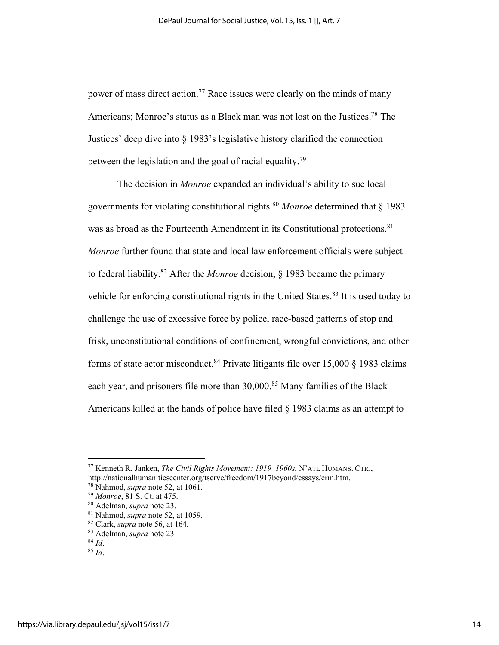power of mass direct action.<sup>77</sup> Race issues were clearly on the minds of many Americans; Monroe's status as a Black man was not lost on the Justices.<sup>78</sup> The Justices' deep dive into § 1983's legislative history clarified the connection between the legislation and the goal of racial equality.<sup>79</sup>

The decision in *Monroe* expanded an individual's ability to sue local governments for violating constitutional rights.80 *Monroe* determined that § 1983 was as broad as the Fourteenth Amendment in its Constitutional protections.<sup>81</sup> *Monroe* further found that state and local law enforcement officials were subject to federal liability. <sup>82</sup> After the *Monroe* decision, § 1983 became the primary vehicle for enforcing constitutional rights in the United States.<sup>83</sup> It is used today to challenge the use of excessive force by police, race-based patterns of stop and frisk, unconstitutional conditions of confinement, wrongful convictions, and other forms of state actor misconduct.<sup>84</sup> Private litigants file over 15,000 § 1983 claims each year, and prisoners file more than 30,000.<sup>85</sup> Many families of the Black Americans killed at the hands of police have filed § 1983 claims as an attempt to

<sup>77</sup> Kenneth R. Janken, *The Civil Rights Movement: 1919–1960s*, N'ATL HUMANS. CTR., http://nationalhumanitiescenter.org/tserve/freedom/1917beyond/essays/crm.htm.

<sup>78</sup> Nahmod, *supra* note 52, at 1061.

<sup>79</sup> *Monroe*, 81 S. Ct. at 475.

<sup>80</sup> Adelman, *supra* note 23.

<sup>81</sup> Nahmod, *supra* note 52, at 1059.

<sup>82</sup> Clark, *supra* note 56, at 164.

<sup>83</sup> Adelman, *supra* note 23

<sup>84</sup> *Id*.

<sup>85</sup> *Id*.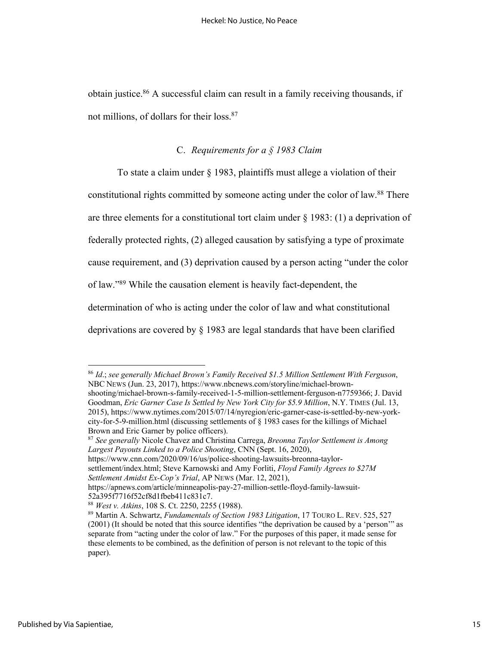obtain justice. <sup>86</sup> A successful claim can result in a family receiving thousands, if not millions, of dollars for their loss. 87

# C. *Requirements for a § 1983 Claim*

To state a claim under § 1983, plaintiffs must allege a violation of their constitutional rights committed by someone acting under the color of law.<sup>88</sup> There are three elements for a constitutional tort claim under § 1983: (1) a deprivation of federally protected rights, (2) alleged causation by satisfying a type of proximate cause requirement, and (3) deprivation caused by a person acting "under the color of law."89 While the causation element is heavily fact-dependent, the determination of who is acting under the color of law and what constitutional deprivations are covered by § 1983 are legal standards that have been clarified

<sup>86</sup> *Id*.; *see generally Michael Brown's Family Received \$1.5 Million Settlement With Ferguson*, NBC NEWS (Jun. 23, 2017), https://www.nbcnews.com/storyline/michael-brownshooting/michael-brown-s-family-received-1-5-million-settlement-ferguson-n7759366; J. David Goodman, *Eric Garner Case Is Settled by New York City for \$5.9 Million*, N.Y. TIMES (Jul. 13, 2015), https://www.nytimes.com/2015/07/14/nyregion/eric-garner-case-is-settled-by-new-yorkcity-for-5-9-million.html (discussing settlements of § 1983 cases for the killings of Michael Brown and Eric Garner by police officers).

<sup>87</sup> *See generally* Nicole Chavez and Christina Carrega, *Breonna Taylor Settlement is Among Largest Payouts Linked to a Police Shooting*, CNN (Sept. 16, 2020),

https://www.cnn.com/2020/09/16/us/police-shooting-lawsuits-breonna-taylor-

settlement/index.html; Steve Karnowski and Amy Forliti, *Floyd Family Agrees to \$27M* 

*Settlement Amidst Ex-Cop's Trial*, AP NEWS (Mar. 12, 2021),

https://apnews.com/article/minneapolis-pay-27-million-settle-floyd-family-lawsuit-52a395f7716f52cf8d1fbeb411c831c7.

<sup>88</sup> *West v. Atkins*, 108 S. Ct. 2250, 2255 (1988).

<sup>89</sup> Martin A. Schwartz, *Fundamentals of Section 1983 Litigation*, 17 TOURO L. REV. 525, 527 (2001) (It should be noted that this source identifies "the deprivation be caused by a 'person'" as separate from "acting under the color of law." For the purposes of this paper, it made sense for these elements to be combined, as the definition of person is not relevant to the topic of this paper).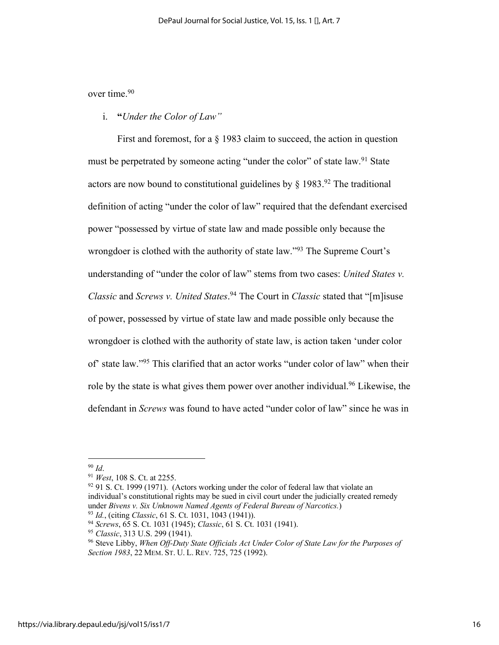over time. 90

i. **"***Under the Color of Law"*

First and foremost, for a  $\S$  1983 claim to succeed, the action in question must be perpetrated by someone acting "under the color" of state law.<sup>91</sup> State actors are now bound to constitutional guidelines by  $\S 1983.$ <sup>92</sup> The traditional definition of acting "under the color of law" required that the defendant exercised power "possessed by virtue of state law and made possible only because the wrongdoer is clothed with the authority of state law."<sup>93</sup> The Supreme Court's understanding of "under the color of law" stems from two cases: *United States v. Classic* and *Screws v. United States*. <sup>94</sup> The Court in *Classic* stated that "[m]isuse of power, possessed by virtue of state law and made possible only because the wrongdoer is clothed with the authority of state law, is action taken 'under color of' state law."95 This clarified that an actor works "under color of law" when their role by the state is what gives them power over another individual.<sup>96</sup> Likewise, the defendant in *Screws* was found to have acted "under color of law" since he was in

 $92$  91 S. Ct. 1999 (1971). (Actors working under the color of federal law that violate an individual's constitutional rights may be sued in civil court under the judicially created remedy under *Bivens v. Six Unknown Named Agents of Federal Bureau of Narcotics.*)

<sup>93</sup> *Id.*, (citing *Classic*, 61 S. Ct. 1031, 1043 (1941)).

<sup>90</sup> *Id*.

<sup>91</sup> *West*, 108 S. Ct. at 2255.

<sup>94</sup> *Screws*, 65 S. Ct. 1031 (1945); *Classic*, 61 S. Ct. 1031 (1941).

<sup>95</sup> *Classic*, 313 U.S. 299 (1941).

<sup>96</sup> Steve Libby, *When Off-Duty State Officials Act Under Color of State Law for the Purposes of Section 1983*, 22 MEM. ST. U. L. REV. 725, 725 (1992).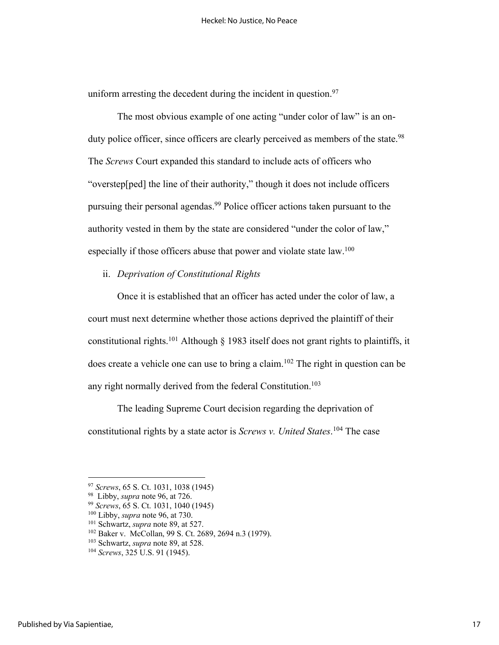uniform arresting the decedent during the incident in question. $97$ 

The most obvious example of one acting "under color of law" is an onduty police officer, since officers are clearly perceived as members of the state.<sup>98</sup> The *Screws* Court expanded this standard to include acts of officers who "overstep[ped] the line of their authority," though it does not include officers pursuing their personal agendas. <sup>99</sup> Police officer actions taken pursuant to the authority vested in them by the state are considered "under the color of law," especially if those officers abuse that power and violate state law.<sup>100</sup>

ii. *Deprivation of Constitutional Rights*

Once it is established that an officer has acted under the color of law, a court must next determine whether those actions deprived the plaintiff of their constitutional rights.<sup>101</sup> Although  $\S$  1983 itself does not grant rights to plaintiffs, it does create a vehicle one can use to bring a claim.<sup>102</sup> The right in question can be any right normally derived from the federal Constitution.<sup>103</sup>

The leading Supreme Court decision regarding the deprivation of constitutional rights by a state actor is *Screws v. United States*. <sup>104</sup> The case

<sup>97</sup> *Screws*, 65 S. Ct. 1031, 1038 (1945)

<sup>98</sup> Libby, *supra* note 96, at 726. 99 *Screws*, 65 S. Ct. 1031, 1040 (1945)

<sup>100</sup> Libby, *supra* note 96, at 730.

<sup>101</sup> Schwartz, *supra* note 89, at 527.

<sup>102</sup> Baker v. McCollan, 99 S. Ct. 2689, 2694 n.3 (1979). 103 Schwartz, *supra* note 89, at 528.

<sup>104</sup> *Screws*, 325 U.S. 91 (1945).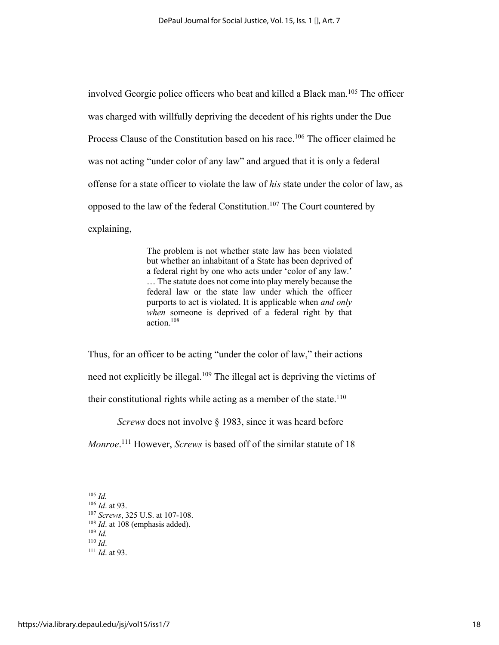involved Georgic police officers who beat and killed a Black man.<sup>105</sup> The officer was charged with willfully depriving the decedent of his rights under the Due Process Clause of the Constitution based on his race.<sup>106</sup> The officer claimed he was not acting "under color of any law" and argued that it is only a federal offense for a state officer to violate the law of *his* state under the color of law, as opposed to the law of the federal Constitution.<sup>107</sup> The Court countered by explaining,

> The problem is not whether state law has been violated but whether an inhabitant of a State has been deprived of a federal right by one who acts under 'color of any law.' … The statute does not come into play merely because the federal law or the state law under which the officer purports to act is violated. It is applicable when *and only when* someone is deprived of a federal right by that action.108

Thus, for an officer to be acting "under the color of law," their actions need not explicitly be illegal.109 The illegal act is depriving the victims of their constitutional rights while acting as a member of the state.<sup>110</sup>

*Screws* does not involve § 1983, since it was heard before

*Monroe*. <sup>111</sup> However, *Screws* is based off of the similar statute of 18

<sup>105</sup> *Id.*

<sup>106</sup> *Id*. at 93.

<sup>107</sup> *Screws*, 325 U.S. at 107-108. <sup>108</sup> *Id.* at 108 (emphasis added). <sup>109</sup> *Id.* <sup>110</sup> *Id*.

<sup>111</sup> *Id*. at 93.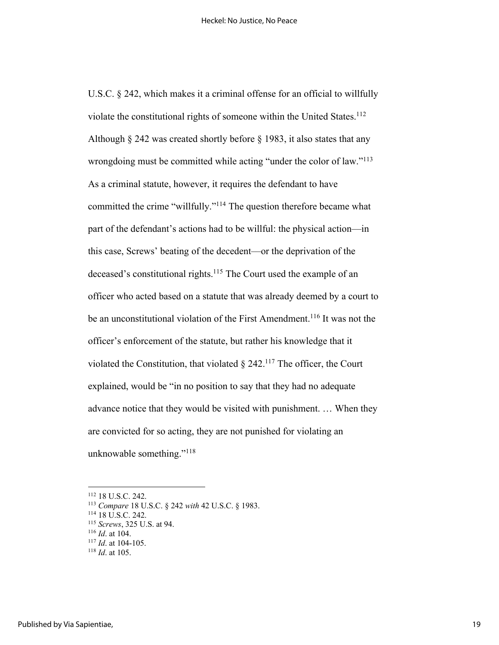U.S.C. § 242, which makes it a criminal offense for an official to willfully violate the constitutional rights of someone within the United States.<sup>112</sup> Although § 242 was created shortly before § 1983, it also states that any wrongdoing must be committed while acting "under the color of law."<sup>113</sup> As a criminal statute, however, it requires the defendant to have committed the crime "willfully."114 The question therefore became what part of the defendant's actions had to be willful: the physical action––in this case, Screws' beating of the decedent––or the deprivation of the deceased's constitutional rights. <sup>115</sup> The Court used the example of an officer who acted based on a statute that was already deemed by a court to be an unconstitutional violation of the First Amendment.<sup>116</sup> It was not the officer's enforcement of the statute, but rather his knowledge that it violated the Constitution, that violated  $\S$  242.<sup>117</sup> The officer, the Court explained, would be "in no position to say that they had no adequate advance notice that they would be visited with punishment. … When they are convicted for so acting, they are not punished for violating an unknowable something."118

<sup>112</sup> 18 U.S.C. 242.

<sup>113</sup> *Compare* 18 U.S.C. § 242 *with* 42 U.S.C. § 1983.

<sup>114</sup> 18 U.S.C. 242.

<sup>115</sup> *Screws*, 325 U.S. at 94.

<sup>116</sup> *Id*. at 104.

<sup>117</sup> *Id*. at 104-105.

<sup>118</sup> *Id*. at 105.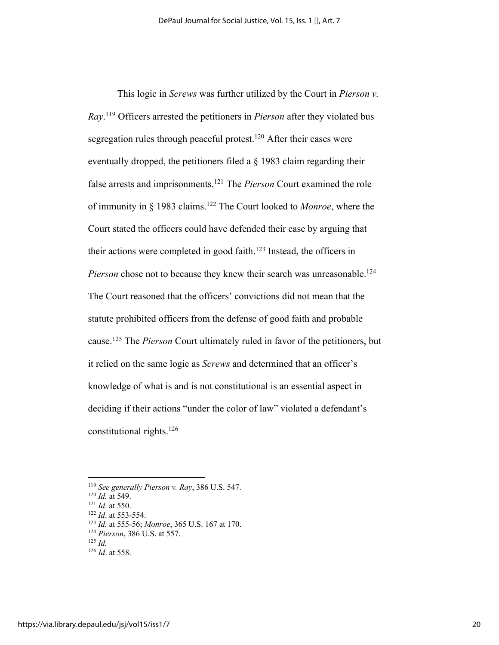This logic in *Screws* was further utilized by the Court in *Pierson v. Ray*. <sup>119</sup> Officers arrested the petitioners in *Pierson* after they violated bus segregation rules through peaceful protest.<sup>120</sup> After their cases were eventually dropped, the petitioners filed a § 1983 claim regarding their false arrests and imprisonments. <sup>121</sup> The *Pierson* Court examined the role of immunity in § 1983 claims.122 The Court looked to *Monroe*, where the Court stated the officers could have defended their case by arguing that their actions were completed in good faith. <sup>123</sup> Instead, the officers in Pierson chose not to because they knew their search was unreasonable.<sup>124</sup> The Court reasoned that the officers' convictions did not mean that the statute prohibited officers from the defense of good faith and probable cause.125 The *Pierson* Court ultimately ruled in favor of the petitioners, but it relied on the same logic as *Screws* and determined that an officer's knowledge of what is and is not constitutional is an essential aspect in deciding if their actions "under the color of law" violated a defendant's constitutional rights.126

<sup>119</sup> *See generally Pierson v. Ray*, 386 U.S. 547.

<sup>120</sup> *Id.* at 549.

<sup>121</sup> *Id*. at 550.

<sup>122</sup> *Id*. at 553-554.

<sup>123</sup> *Id.* at 555-56; *Monroe*, 365 U.S. 167 at 170.

<sup>124</sup> *Pierson*, 386 U.S. at 557.

 $125$  *Id.* 

<sup>126</sup> *Id*. at 558.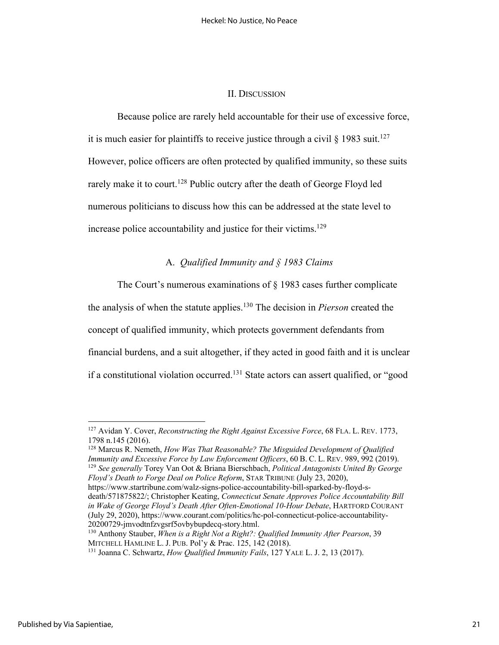#### II. DISCUSSION

Because police are rarely held accountable for their use of excessive force, it is much easier for plaintiffs to receive justice through a civil  $\S$  1983 suit.<sup>127</sup> However, police officers are often protected by qualified immunity, so these suits rarely make it to court.<sup>128</sup> Public outcry after the death of George Floyd led numerous politicians to discuss how this can be addressed at the state level to increase police accountability and justice for their victims.<sup>129</sup>

# A. *Qualified Immunity and § 1983 Claims*

The Court's numerous examinations of § 1983 cases further complicate the analysis of when the statute applies. <sup>130</sup> The decision in *Pierson* created the concept of qualified immunity, which protects government defendants from financial burdens, and a suit altogether, if they acted in good faith and it is unclear if a constitutional violation occurred.<sup>131</sup> State actors can assert qualified, or "good

<sup>128</sup> Marcus R. Nemeth, *How Was That Reasonable? The Misguided Development of Qualified Immunity and Excessive Force by Law Enforcement Officers*, 60 B. C. L. REV. 989, 992 (2019). <sup>129</sup> *See generally* Torey Van Oot & Briana Bierschbach, *Political Antagonists United By George Floyd's Death to Forge Deal on Police Reform*, STAR TRIBUNE (July 23, 2020),

https://www.startribune.com/walz-signs-police-accountability-bill-sparked-by-floyd-sdeath/571875822/; Christopher Keating, *Connecticut Senate Approves Police Accountability Bill in Wake of George Floyd's Death After Often-Emotional 10-Hour Debate*, HARTFORD COURANT (July 29, 2020), https://www.courant.com/politics/hc-pol-connecticut-police-accountability-20200729-jmvodtnfzvgsrf5ovbybupdecq-story.html.

<sup>127</sup> Avidan Y. Cover, *Reconstructing the Right Against Excessive Force*, 68 FLA. L. REV. 1773, 1798 n.145 (2016).

<sup>130</sup> Anthony Stauber, *When is a Right Not a Right?: Qualified Immunity After Pearson*, 39 MITCHELL HAMLINE L. J. PUB. Pol'y & Prac. 125, 142 (2018).

<sup>131</sup> Joanna C. Schwartz, *How Qualified Immunity Fails*, 127 YALE L. J. 2, 13 (2017).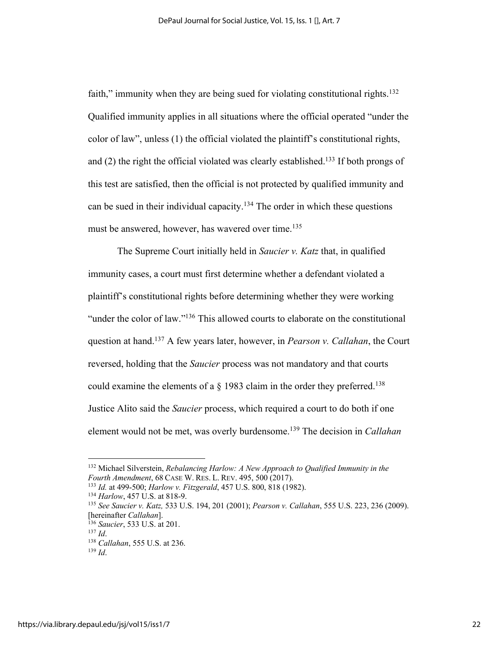faith," immunity when they are being sued for violating constitutional rights.<sup>132</sup> Qualified immunity applies in all situations where the official operated "under the color of law", unless (1) the official violated the plaintiff's constitutional rights, and (2) the right the official violated was clearly established.133 If both prongs of this test are satisfied, then the official is not protected by qualified immunity and can be sued in their individual capacity.<sup>134</sup> The order in which these questions must be answered, however, has wavered over time.<sup>135</sup>

The Supreme Court initially held in *Saucier v. Katz* that, in qualified immunity cases, a court must first determine whether a defendant violated a plaintiff's constitutional rights before determining whether they were working "under the color of law."136 This allowed courts to elaborate on the constitutional question at hand.137 A few years later, however, in *Pearson v. Callahan*, the Court reversed, holding that the *Saucier* process was not mandatory and that courts could examine the elements of a  $\S$  1983 claim in the order they preferred.<sup>138</sup> Justice Alito said the *Saucier* process, which required a court to do both if one element would not be met, was overly burdensome.139 The decision in *Callahan*

<sup>132</sup> Michael Silverstein, *Rebalancing Harlow: A New Approach to Qualified Immunity in the Fourth Amendment*, 68 CASE W. RES. L. REV. 495, 500 (2017).

<sup>133</sup> *Id.* at 499-500; *Harlow v. Fitzgerald*, 457 U.S. 800, 818 (1982).

<sup>134</sup> *Harlow*, 457 U.S. at 818-9.

<sup>135</sup> *See Saucier v. Katz,* 533 U.S. 194, 201 (2001); *Pearson v. Callahan*, 555 U.S. 223, 236 (2009). [hereinafter *Callahan*].

<sup>136</sup> *Saucier*, 533 U.S. at 201.

<sup>137</sup> *Id*. 138 *Callahan*, 555 U.S. at 236.

<sup>139</sup> *Id*.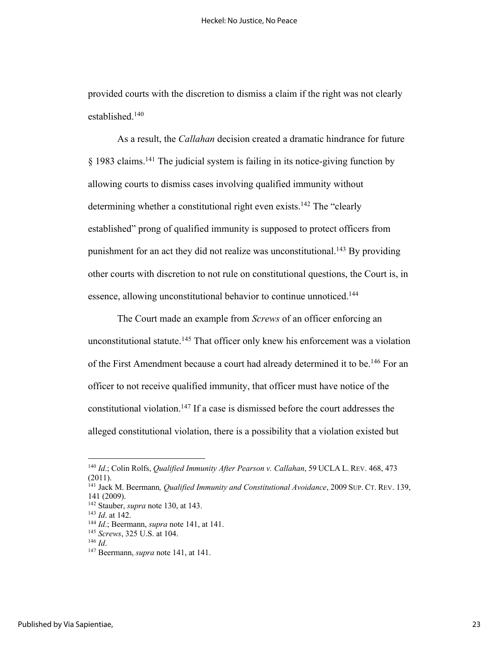provided courts with the discretion to dismiss a claim if the right was not clearly established.140

As a result, the *Callahan* decision created a dramatic hindrance for future  $§$  1983 claims.<sup>141</sup> The judicial system is failing in its notice-giving function by allowing courts to dismiss cases involving qualified immunity without determining whether a constitutional right even exists.<sup>142</sup> The "clearly established" prong of qualified immunity is supposed to protect officers from punishment for an act they did not realize was unconstitutional.<sup>143</sup> By providing other courts with discretion to not rule on constitutional questions, the Court is, in essence, allowing unconstitutional behavior to continue unnoticed.<sup>144</sup>

The Court made an example from *Screws* of an officer enforcing an unconstitutional statute. <sup>145</sup> That officer only knew his enforcement was a violation of the First Amendment because a court had already determined it to be.<sup>146</sup> For an officer to not receive qualified immunity, that officer must have notice of the constitutional violation.147 If a case is dismissed before the court addresses the alleged constitutional violation, there is a possibility that a violation existed but

<sup>140</sup> *Id*.; Colin Rolfs, *Qualified Immunity After Pearson v. Callahan*, 59 UCLA L. REV. 468, 473 (2011).

<sup>141</sup> Jack M. Beermann*, Qualified Immunity and Constitutional Avoidance*, 2009 SUP. CT. REV. 139, 141 (2009).

<sup>142</sup> Stauber, *supra* note 130, at 143.

<sup>143</sup> *Id*. at 142.

<sup>144</sup> *Id*.; Beermann, *supra* note 141, at 141.

<sup>145</sup> *Screws*, 325 U.S. at 104.

<sup>146</sup> *Id*.

<sup>147</sup> Beermann, *supra* note 141, at 141.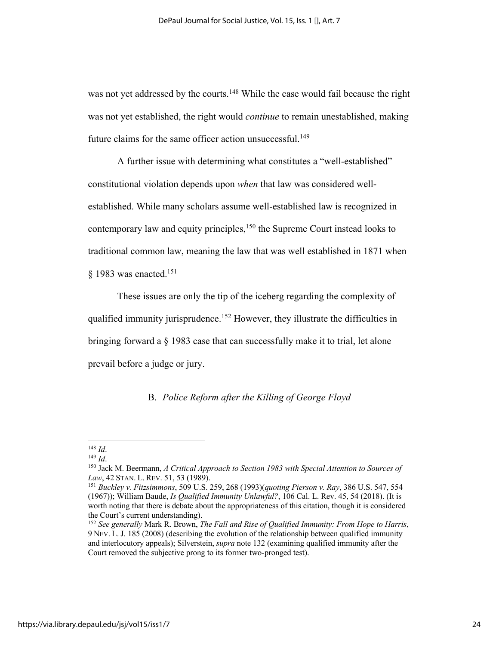was not yet addressed by the courts.<sup>148</sup> While the case would fail because the right was not yet established, the right would *continue* to remain unestablished, making future claims for the same officer action unsuccessful.<sup>149</sup>

A further issue with determining what constitutes a "well-established" constitutional violation depends upon *when* that law was considered wellestablished. While many scholars assume well-established law is recognized in contemporary law and equity principles,<sup>150</sup> the Supreme Court instead looks to traditional common law, meaning the law that was well established in 1871 when § 1983 was enacted.<sup>151</sup>

These issues are only the tip of the iceberg regarding the complexity of qualified immunity jurisprudence.152 However, they illustrate the difficulties in bringing forward a § 1983 case that can successfully make it to trial, let alone prevail before a judge or jury.

# B. *Police Reform after the Killing of George Floyd*

<sup>148</sup> *Id*.

<sup>149</sup> *Id*.

<sup>150</sup> Jack M. Beermann, *A Critical Approach to Section 1983 with Special Attention to Sources of Law*, 42 STAN. L. REV. 51, 53 (1989).

<sup>151</sup> *Buckley v. Fitzsimmons*, 509 U.S. 259, 268 (1993)(*quoting Pierson v. Ray*, 386 U.S. 547, 554 (1967)); William Baude, *Is Qualified Immunity Unlawful?*, 106 Cal. L. Rev. 45, 54 (2018). (It is worth noting that there is debate about the appropriateness of this citation, though it is considered the Court's current understanding).

<sup>152</sup> *See generally* Mark R. Brown, *The Fall and Rise of Qualified Immunity: From Hope to Harris*, 9 NEV. L. J. 185 (2008) (describing the evolution of the relationship between qualified immunity and interlocutory appeals); Silverstein, *supra* note 132 (examining qualified immunity after the Court removed the subjective prong to its former two-pronged test).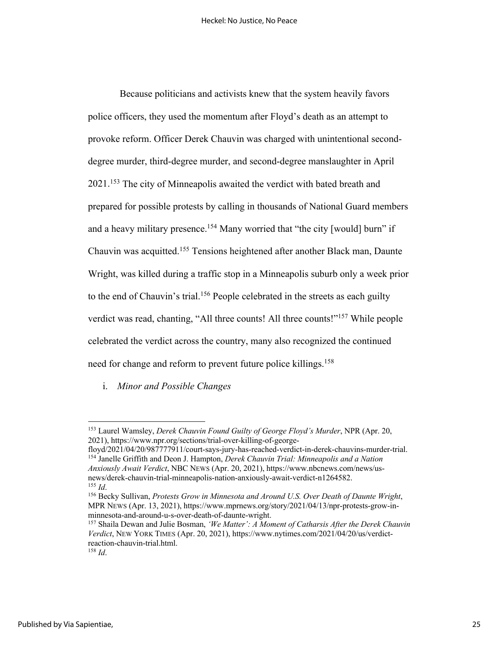Because politicians and activists knew that the system heavily favors police officers, they used the momentum after Floyd's death as an attempt to provoke reform. Officer Derek Chauvin was charged with unintentional seconddegree murder, third-degree murder, and second-degree manslaughter in April 2021.153 The city of Minneapolis awaited the verdict with bated breath and prepared for possible protests by calling in thousands of National Guard members and a heavy military presence.<sup>154</sup> Many worried that "the city [would] burn" if Chauvin was acquitted.155 Tensions heightened after another Black man, Daunte Wright, was killed during a traffic stop in a Minneapolis suburb only a week prior to the end of Chauvin's trial. <sup>156</sup> People celebrated in the streets as each guilty verdict was read, chanting, "All three counts! All three counts!"157 While people celebrated the verdict across the country, many also recognized the continued need for change and reform to prevent future police killings.<sup>158</sup>

i. *Minor and Possible Changes*

<sup>153</sup> Laurel Wamsley, *Derek Chauvin Found Guilty of George Floyd's Murder*, NPR (Apr. 20, 2021), https://www.npr.org/sections/trial-over-killing-of-george-

floyd/2021/04/20/987777911/court-says-jury-has-reached-verdict-in-derek-chauvins-murder-trial. <sup>154</sup> Janelle Griffith and Deon J. Hampton, *Derek Chauvin Trial: Minneapolis and a Nation Anxiously Await Verdict*, NBC NEWS (Apr. 20, 2021), https://www.nbcnews.com/news/usnews/derek-chauvin-trial-minneapolis-nation-anxiously-await-verdict-n1264582. <sup>155</sup> *Id*.

<sup>156</sup> Becky Sullivan, *Protests Grow in Minnesota and Around U.S. Over Death of Daunte Wright*, MPR NEWS (Apr. 13, 2021), https://www.mprnews.org/story/2021/04/13/npr-protests-grow-inminnesota-and-around-u-s-over-death-of-daunte-wright.

<sup>157</sup> Shaila Dewan and Julie Bosman, *'We Matter': A Moment of Catharsis After the Derek Chauvin Verdict*, NEW YORK TIMES (Apr. 20, 2021), https://www.nytimes.com/2021/04/20/us/verdictreaction-chauvin-trial.html.

<sup>158</sup> *Id*.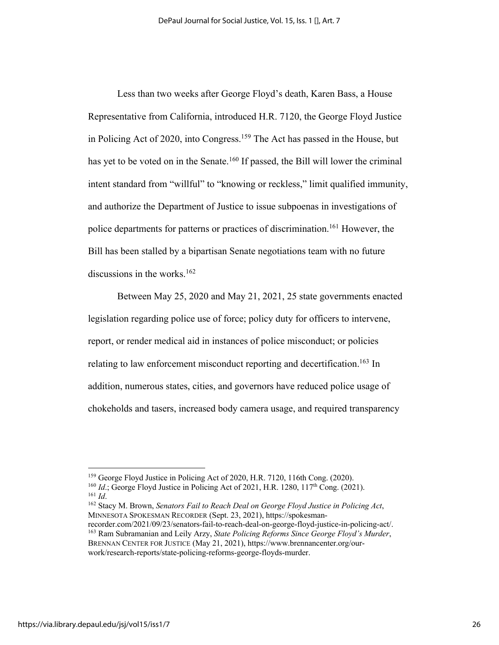Less than two weeks after George Floyd's death, Karen Bass, a House Representative from California, introduced H.R. 7120, the George Floyd Justice in Policing Act of 2020, into Congress. <sup>159</sup> The Act has passed in the House, but has yet to be voted on in the Senate.<sup>160</sup> If passed, the Bill will lower the criminal intent standard from "willful" to "knowing or reckless," limit qualified immunity, and authorize the Department of Justice to issue subpoenas in investigations of police departments for patterns or practices of discrimination.161 However, the Bill has been stalled by a bipartisan Senate negotiations team with no future discussions in the works. 162

Between May 25, 2020 and May 21, 2021, 25 state governments enacted legislation regarding police use of force; policy duty for officers to intervene, report, or render medical aid in instances of police misconduct; or policies relating to law enforcement misconduct reporting and decertification.<sup>163</sup> In addition, numerous states, cities, and governors have reduced police usage of chokeholds and tasers, increased body camera usage, and required transparency

<sup>159</sup> George Floyd Justice in Policing Act of 2020, H.R. 7120, 116th Cong. (2020).

<sup>&</sup>lt;sup>160</sup> *Id.*; George Floyd Justice in Policing Act of 2021, H.R. 1280, 117<sup>th</sup> Cong. (2021). <sup>161</sup> *Id*.

<sup>162</sup> Stacy M. Brown, *Senators Fail to Reach Deal on George Floyd Justice in Policing Act*, MINNESOTA SPOKESMAN RECORDER (Sept. 23, 2021), https://spokesman-

recorder.com/2021/09/23/senators-fail-to-reach-deal-on-george-floyd-justice-in-policing-act/. <sup>163</sup> Ram Subramanian and Leily Arzy, *State Policing Reforms Since George Floyd's Murder*, BRENNAN CENTER FOR JUSTICE (May 21, 2021), https://www.brennancenter.org/ourwork/research-reports/state-policing-reforms-george-floyds-murder.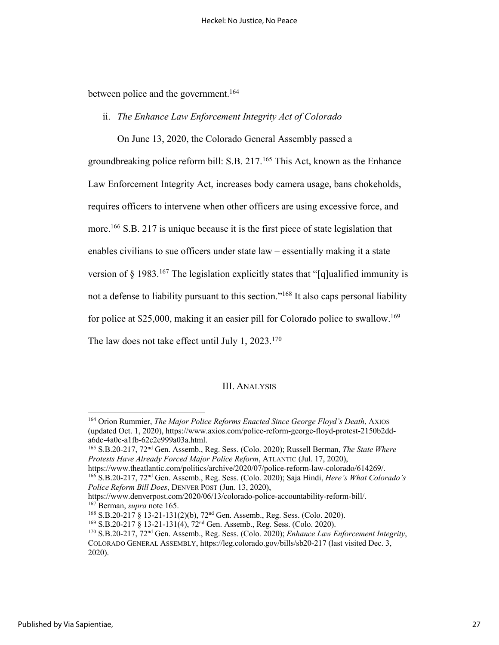between police and the government.<sup>164</sup>

ii. *The Enhance Law Enforcement Integrity Act of Colorado*

On June 13, 2020, the Colorado General Assembly passed a

groundbreaking police reform bill: S.B. 217.165 This Act, known as the Enhance Law Enforcement Integrity Act, increases body camera usage, bans chokeholds, requires officers to intervene when other officers are using excessive force, and more.<sup>166</sup> S.B. 217 is unique because it is the first piece of state legislation that enables civilians to sue officers under state law – essentially making it a state version of  $\S 1983$ .<sup>167</sup> The legislation explicitly states that "[q]ualified immunity is not a defense to liability pursuant to this section."<sup>168</sup> It also caps personal liability for police at \$25,000, making it an easier pill for Colorado police to swallow.<sup>169</sup> The law does not take effect until July 1,  $2023$ .<sup>170</sup>

## III. ANALYSIS

<sup>165</sup> S.B.20-217, 72nd Gen. Assemb., Reg. Sess. (Colo. 2020); Russell Berman, *The State Where Protests Have Already Forced Major Police Reform*, ATLANTIC (Jul. 17, 2020), https://www.theatlantic.com/politics/archive/2020/07/police-reform-law-colorado/614269/.

<sup>166</sup> S.B.20-217, 72nd Gen. Assemb., Reg. Sess. (Colo. 2020); Saja Hindi, *Here's What Colorado's Police Reform Bill Does*, DENVER POST (Jun. 13, 2020),

<sup>164</sup> Orion Rummier, *The Major Police Reforms Enacted Since George Floyd's Death*, AXIOS (updated Oct. 1, 2020), https://www.axios.com/police-reform-george-floyd-protest-2150b2dda6dc-4a0c-a1fb-62c2e999a03a.html.

https://www.denverpost.com/2020/06/13/colorado-police-accountability-reform-bill/. <sup>167</sup> Berman, *supra* note 165.

<sup>168</sup> S.B.20-217 § 13-21-131(2)(b), 72nd Gen. Assemb., Reg. Sess. (Colo. 2020).

<sup>169</sup> S.B.20-217 § 13-21-131(4), 72nd Gen. Assemb., Reg. Sess. (Colo. 2020).

<sup>170</sup> S.B.20-217, 72nd Gen. Assemb., Reg. Sess. (Colo. 2020); *Enhance Law Enforcement Integrity*, COLORADO GENERAL ASSEMBLY, https://leg.colorado.gov/bills/sb20-217 (last visited Dec. 3, 2020).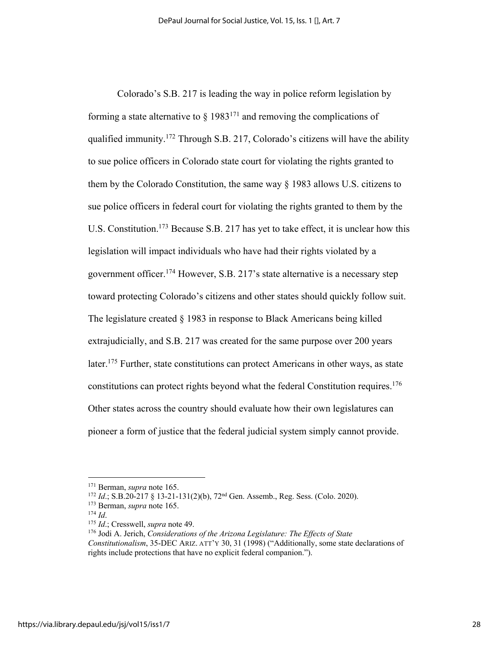Colorado's S.B. 217 is leading the way in police reform legislation by forming a state alternative to  $\S$  1983<sup>171</sup> and removing the complications of qualified immunity.<sup>172</sup> Through S.B. 217, Colorado's citizens will have the ability to sue police officers in Colorado state court for violating the rights granted to them by the Colorado Constitution, the same way § 1983 allows U.S. citizens to sue police officers in federal court for violating the rights granted to them by the U.S. Constitution.<sup>173</sup> Because S.B. 217 has yet to take effect, it is unclear how this legislation will impact individuals who have had their rights violated by a government officer.174 However, S.B. 217's state alternative is a necessary step toward protecting Colorado's citizens and other states should quickly follow suit. The legislature created § 1983 in response to Black Americans being killed extrajudicially, and S.B. 217 was created for the same purpose over 200 years later.175 Further, state constitutions can protect Americans in other ways, as state constitutions can protect rights beyond what the federal Constitution requires. 176 Other states across the country should evaluate how their own legislatures can pioneer a form of justice that the federal judicial system simply cannot provide.

<sup>171</sup> Berman, *supra* note 165.

<sup>172</sup> *Id*.; S.B.20-217 § 13-21-131(2)(b), 72nd Gen. Assemb., Reg. Sess. (Colo. 2020).

<sup>173</sup> Berman, *supra* note 165.

<sup>174</sup> *Id*.

<sup>175</sup> *Id*.; Cresswell, *supra* note 49.

<sup>176</sup> Jodi A. Jerich, *Considerations of the Arizona Legislature: The Effects of State Constitutionalism*, 35-DEC ARIZ. ATT'Y 30, 31 (1998) ("Additionally, some state declarations of rights include protections that have no explicit federal companion.").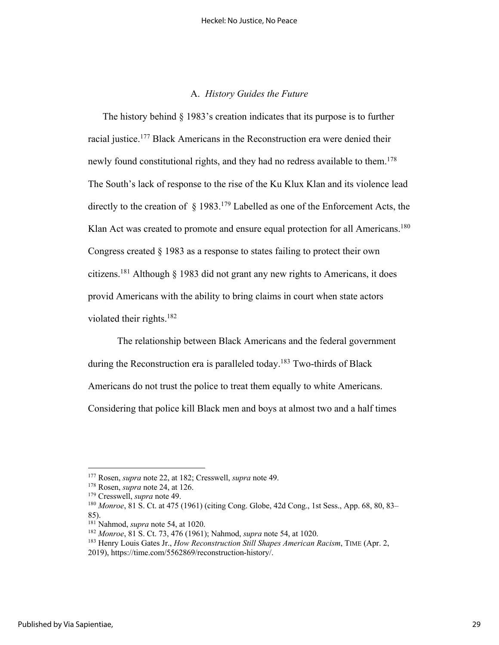## A. *History Guides the Future*

The history behind § 1983's creation indicates that its purpose is to further racial justice.<sup>177</sup> Black Americans in the Reconstruction era were denied their newly found constitutional rights, and they had no redress available to them.<sup>178</sup> The South's lack of response to the rise of the Ku Klux Klan and its violence lead directly to the creation of  $\S 1983$ .<sup>179</sup> Labelled as one of the Enforcement Acts, the Klan Act was created to promote and ensure equal protection for all Americans.<sup>180</sup> Congress created § 1983 as a response to states failing to protect their own citizens.<sup>181</sup> Although  $\frac{1}{2}$  1983 did not grant any new rights to Americans, it does provid Americans with the ability to bring claims in court when state actors violated their rights.182

The relationship between Black Americans and the federal government during the Reconstruction era is paralleled today.<sup>183</sup> Two-thirds of Black Americans do not trust the police to treat them equally to white Americans. Considering that police kill Black men and boys at almost two and a half times

<sup>177</sup> Rosen, *supra* note 22, at 182; Cresswell, *supra* note 49.

<sup>178</sup> Rosen, *supra* note 24, at 126.

<sup>179</sup> Cresswell, *supra* note 49.

<sup>180</sup> *Monroe*, 81 S. Ct. at 475 (1961) (citing Cong. Globe, 42d Cong., 1st Sess., App. 68, 80, 83– 85).

<sup>181</sup> Nahmod, *supra* note 54, at 1020.

<sup>182</sup> *Monroe*, 81 S. Ct. 73, 476 (1961); Nahmod, *supra* note 54, at 1020.

<sup>183</sup> Henry Louis Gates Jr., *How Reconstruction Still Shapes American Racism*, TIME (Apr. 2,

<sup>2019),</sup> https://time.com/5562869/reconstruction-history/.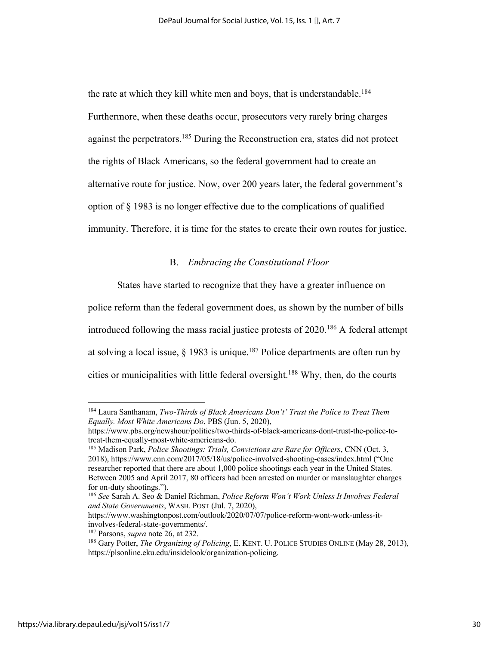the rate at which they kill white men and boys, that is understandable.<sup>184</sup> Furthermore, when these deaths occur, prosecutors very rarely bring charges against the perpetrators.<sup>185</sup> During the Reconstruction era, states did not protect the rights of Black Americans, so the federal government had to create an alternative route for justice. Now, over 200 years later, the federal government's option of § 1983 is no longer effective due to the complications of qualified immunity. Therefore, it is time for the states to create their own routes for justice.

# B. *Embracing the Constitutional Floor*

States have started to recognize that they have a greater influence on

police reform than the federal government does, as shown by the number of bills introduced following the mass racial justice protests of 2020.186 A federal attempt at solving a local issue,  $\S$  1983 is unique.<sup>187</sup> Police departments are often run by cities or municipalities with little federal oversight.<sup>188</sup> Why, then, do the courts

<sup>184</sup> Laura Santhanam, *Two-Thirds of Black Americans Don't' Trust the Police to Treat Them Equally. Most White Americans Do*, PBS (Jun. 5, 2020),

https://www.pbs.org/newshour/politics/two-thirds-of-black-americans-dont-trust-the-police-totreat-them-equally-most-white-americans-do.

<sup>185</sup> Madison Park, *Police Shootings: Trials, Convictions are Rare for Officers*, CNN (Oct. 3, 2018), https://www.cnn.com/2017/05/18/us/police-involved-shooting-cases/index.html ("One researcher reported that there are about 1,000 police shootings each year in the United States. Between 2005 and April 2017, 80 officers had been arrested on murder or manslaughter charges for on-duty shootings.").

<sup>186</sup> *See* Sarah A. Seo & Daniel Richman, *Police Reform Won't Work Unless It Involves Federal and State Governments*, WASH. POST (Jul. 7, 2020),

https://www.washingtonpost.com/outlook/2020/07/07/police-reform-wont-work-unless-itinvolves-federal-state-governments/.

<sup>187</sup> Parsons, *supra* note 26, at 232.

<sup>188</sup> Gary Potter, *The Organizing of Policing*, E. KENT. U. POLICE STUDIES ONLINE (May 28, 2013), https://plsonline.eku.edu/insidelook/organization-policing.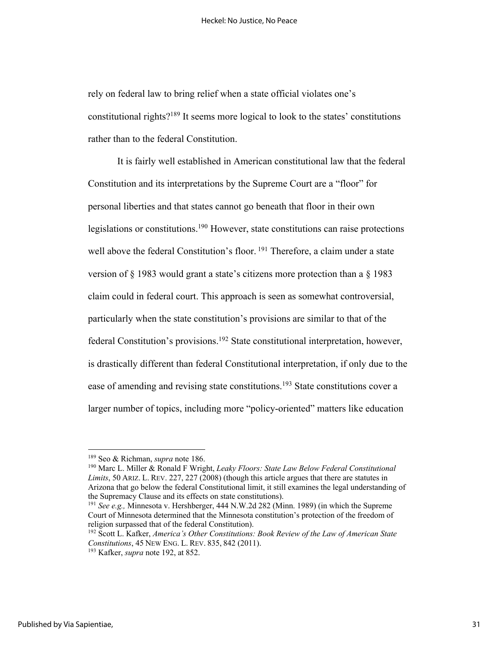rely on federal law to bring relief when a state official violates one's constitutional rights?189 It seems more logical to look to the states' constitutions rather than to the federal Constitution.

It is fairly well established in American constitutional law that the federal Constitution and its interpretations by the Supreme Court are a "floor" for personal liberties and that states cannot go beneath that floor in their own legislations or constitutions.<sup>190</sup> However, state constitutions can raise protections well above the federal Constitution's floor. <sup>191</sup> Therefore, a claim under a state version of § 1983 would grant a state's citizens more protection than a § 1983 claim could in federal court. This approach is seen as somewhat controversial, particularly when the state constitution's provisions are similar to that of the federal Constitution's provisions.<sup>192</sup> State constitutional interpretation, however, is drastically different than federal Constitutional interpretation, if only due to the ease of amending and revising state constitutions.<sup>193</sup> State constitutions cover a larger number of topics, including more "policy-oriented" matters like education

<sup>189</sup> Seo & Richman, *supra* note 186.

<sup>190</sup> Marc L. Miller & Ronald F Wright, *Leaky Floors: State Law Below Federal Constitutional Limits*, 50 ARIZ. L. REV. 227, 227 (2008) (though this article argues that there are statutes in Arizona that go below the federal Constitutional limit, it still examines the legal understanding of the Supremacy Clause and its effects on state constitutions).

<sup>191</sup> *See e.g.,* Minnesota v. Hershberger, 444 N.W.2d 282 (Minn. 1989) (in which the Supreme Court of Minnesota determined that the Minnesota constitution's protection of the freedom of religion surpassed that of the federal Constitution).

<sup>192</sup> Scott L. Kafker, *America's Other Constitutions: Book Review of the Law of American State Constitutions*, 45 NEW ENG. L. REV. 835, 842 (2011).

<sup>193</sup> Kafker, *supra* note 192, at 852.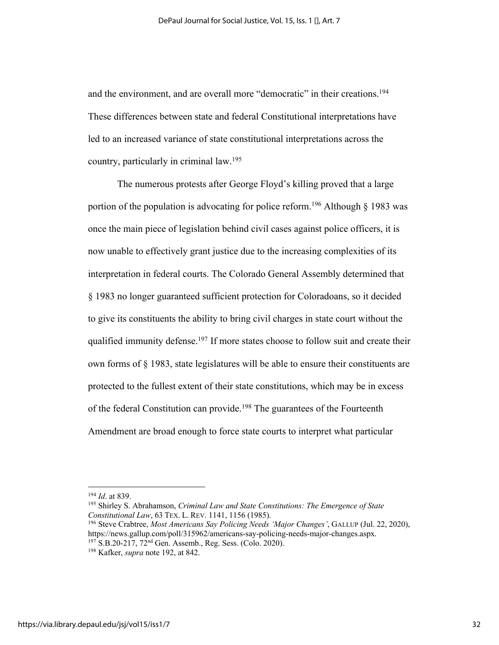and the environment, and are overall more "democratic" in their creations.<sup>194</sup> These differences between state and federal Constitutional interpretations have led to an increased variance of state constitutional interpretations across the country, particularly in criminal law.195

The numerous protests after George Floyd's killing proved that a large portion of the population is advocating for police reform.<sup>196</sup> Although  $\S$  1983 was once the main piece of legislation behind civil cases against police officers, it is now unable to effectively grant justice due to the increasing complexities of its interpretation in federal courts. The Colorado General Assembly determined that § 1983 no longer guaranteed sufficient protection for Coloradoans, so it decided to give its constituents the ability to bring civil charges in state court without the qualified immunity defense.<sup>197</sup> If more states choose to follow suit and create their own forms of  $\S$  1983, state legislatures will be able to ensure their constituents are protected to the fullest extent of their state constitutions, which may be in excess of the federal Constitution can provide. <sup>198</sup> The guarantees of the Fourteenth Amendment are broad enough to force state courts to interpret what particular

<sup>194</sup> *Id*. at 839.

<sup>195</sup> Shirley S. Abrahamson, *Criminal Law and State Constitutions: The Emergence of State Constitutional Law*, 63 TEX. L. REV. 1141, 1156 (1985).

<sup>196</sup> Steve Crabtree, *Most Americans Say Policing Needs 'Major Changes'*, GALLUP (Jul. 22, 2020), https://news.gallup.com/poll/315962/americans-say-policing-needs-major-changes.aspx. <sup>197</sup> S.B.20-217, 72<sup>nd</sup> Gen. Assemb., Reg. Sess. (Colo. 2020).

<sup>198</sup> Kafker, *supra* note 192, at 842.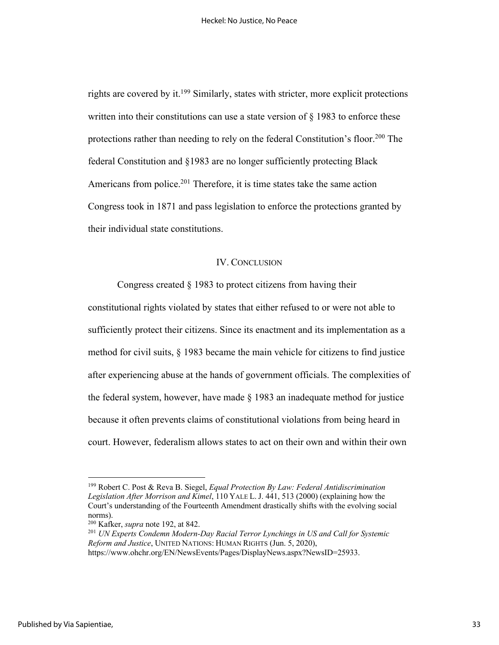rights are covered by it.<sup>199</sup> Similarly, states with stricter, more explicit protections written into their constitutions can use a state version of  $\S$  1983 to enforce these protections rather than needing to rely on the federal Constitution's floor.<sup>200</sup> The federal Constitution and §1983 are no longer sufficiently protecting Black Americans from police.<sup>201</sup> Therefore, it is time states take the same action Congress took in 1871 and pass legislation to enforce the protections granted by their individual state constitutions.

#### IV. CONCLUSION

Congress created § 1983 to protect citizens from having their constitutional rights violated by states that either refused to or were not able to sufficiently protect their citizens. Since its enactment and its implementation as a method for civil suits, § 1983 became the main vehicle for citizens to find justice after experiencing abuse at the hands of government officials. The complexities of the federal system, however, have made  $\S$  1983 an inadequate method for justice because it often prevents claims of constitutional violations from being heard in court. However, federalism allows states to act on their own and within their own

<sup>199</sup> Robert C. Post & Reva B. Siegel, *Equal Protection By Law: Federal Antidiscrimination Legislation After Morrison and Kimel*, 110 YALE L. J. 441, 513 (2000) (explaining how the Court's understanding of the Fourteenth Amendment drastically shifts with the evolving social norms).

<sup>200</sup> Kafker, *supra* note 192, at 842.

<sup>201</sup> *UN Experts Condemn Modern-Day Racial Terror Lynchings in US and Call for Systemic Reform and Justice*, UNITED NATIONS: HUMAN RIGHTS (Jun. 5, 2020),

https://www.ohchr.org/EN/NewsEvents/Pages/DisplayNews.aspx?NewsID=25933.